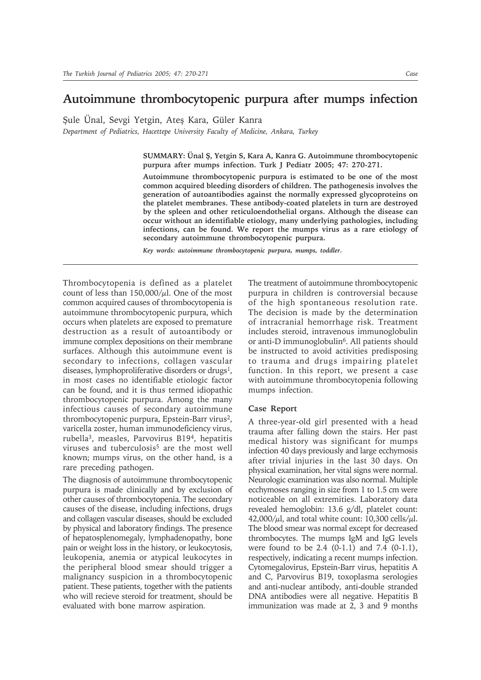## **Autoimmune thrombocytopenic purpura after mumps infection**

Şule Ünal, Sevgi Yetgin, Ateş Kara, Güler Kanra

*Department of Pediatrics, Hacettepe University Faculty of Medicine, Ankara, Turkey*

**SUMMARY: Ünal Ş, Yetgin S, Kara A, Kanra G. Autoimmune thrombocytopenic purpura after mumps infection. Turk J Pediatr 2005; 47: 270-271.**

**Autoimmune thrombocytopenic purpura is estimated to be one of the most common acquired bleeding disorders of children. The pathogenesis involves the generation of autoantibodies against the normally expressed glycoproteins on the platelet membranes. These antibody-coated platelets in turn are destroyed by the spleen and other reticuloendothelial organs. Although the disease can occur without an identifiable etiology, many underlying pathologies, including infections, can be found. We report the mumps virus as a rare etiology of secondary autoimmune thrombocytopenic purpura.**

*Key words: autoimmune thrombocytopenic purpura, mumps, toddler.*

Thrombocytopenia is defined as a platelet count of less than  $150,000/\mu$ l. One of the most common acquired causes of thrombocytopenia is autoimmune thrombocytopenic purpura, which occurs when platelets are exposed to premature destruction as a result of autoantibody or immune complex depositions on their membrane surfaces. Although this autoimmune event is secondary to infections, collagen vascular diseases, lymphoproliferative disorders or drugs<sup>1</sup>, in most cases no identifiable etiologic factor can be found, and it is thus termed idiopathic thrombocytopenic purpura. Among the many infectious causes of secondary autoimmune thrombocytopenic purpura, Epstein-Barr virus2, varicella zoster, human immunodeficiency virus, rubella3, measles, Parvovirus B194, hepatitis viruses and tuberculosis<sup>5</sup> are the most well known; mumps virus, on the other hand, is a rare preceding pathogen.

The diagnosis of autoimmune thrombocytopenic purpura is made clinically and by exclusion of other causes of thrombocytopenia. The secondary causes of the disease, including infections, drugs and collagen vascular diseases, should be excluded by physical and laboratory findings. The presence of hepatosplenomegaly, lymphadenopathy, bone pain or weight loss in the history, or leukocytosis, leukopenia, anemia or atypical leukocytes in the peripheral blood smear should trigger a malignancy suspicion in a thrombocytopenic patient. These patients, together with the patients who will recieve steroid for treatment, should be evaluated with bone marrow aspiration.

The treatment of autoimmune thrombocytopenic purpura in children is controversial because of the high spontaneous resolution rate. The decision is made by the determination of intracranial hemorrhage risk. Treatment includes steroid, intravenous immunoglobulin or anti-D immunoglobulin<sup>6</sup>. All patients should be instructed to avoid activities predisposing to trauma and drugs impairing platelet function. In this report, we present a case with autoimmune thrombocytopenia following mumps infection.

## **Case Report**

A three-year-old girl presented with a head trauma after falling down the stairs. Her past medical history was significant for mumps infection 40 days previously and large ecchymosis after trivial injuries in the last 30 days. On physical examination, her vital signs were normal. Neurologic examination was also normal. Multiple ecchymoses ranging in size from 1 to 1.5 cm were noticeable on all extremities. Laboratory data revealed hemoglobin: 13.6 g/dl, platelet count:  $42,000/\mu$ l, and total white count: 10,300 cells/ $\mu$ l. The blood smear was normal except for decreased thrombocytes. The mumps IgM and IgG levels were found to be 2.4 (0-1.1) and 7.4 (0-1.1), respectively, indicating a recent mumps infection. Cytomegalovirus, Epstein-Barr virus, hepatitis A and C, Parvovirus B19, toxoplasma serologies and anti-nuclear antibody, anti-double stranded DNA antibodies were all negative. Hepatitis B immunization was made at 2, 3 and 9 months